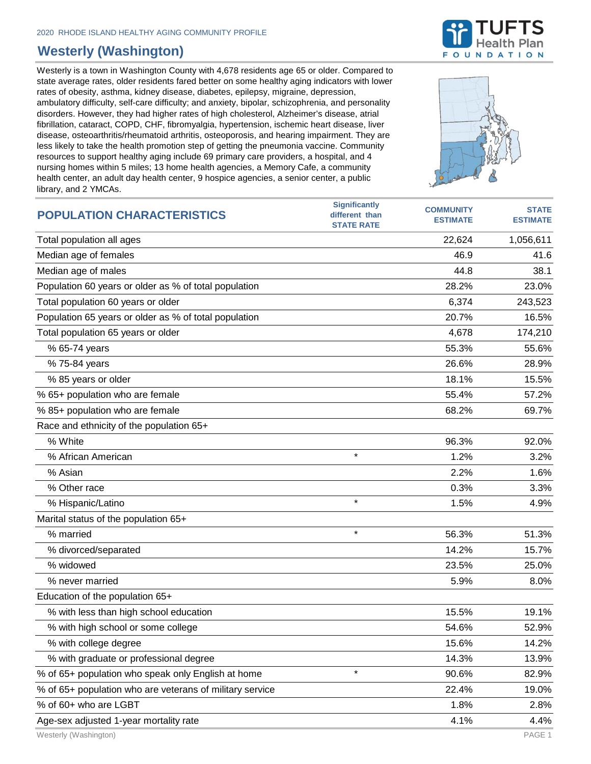## **Westerly (Washington)**

Westerly is a town in Washington County with 4,678 residents age 65 or older. Compared to state average rates, older residents fared better on some healthy aging indicators with lower rates of obesity, asthma, kidney disease, diabetes, epilepsy, migraine, depression, ambulatory difficulty, self-care difficulty; and anxiety, bipolar, schizophrenia, and personality disorders. However, they had higher rates of high cholesterol, Alzheimer's disease, atrial fibrillation, cataract, COPD, CHF, fibromyalgia, hypertension, ischemic heart disease, liver disease, osteoarthritis/rheumatoid arthritis, osteoporosis, and hearing impairment. They are less likely to take the health promotion step of getting the pneumonia vaccine. Community resources to support healthy aging include 69 primary care providers, a hospital, and 4 nursing homes within 5 miles; 13 home health agencies, a Memory Cafe, a community health center, an adult day health center, 9 hospice agencies, a senior center, a public library, and 2 YMCAs.





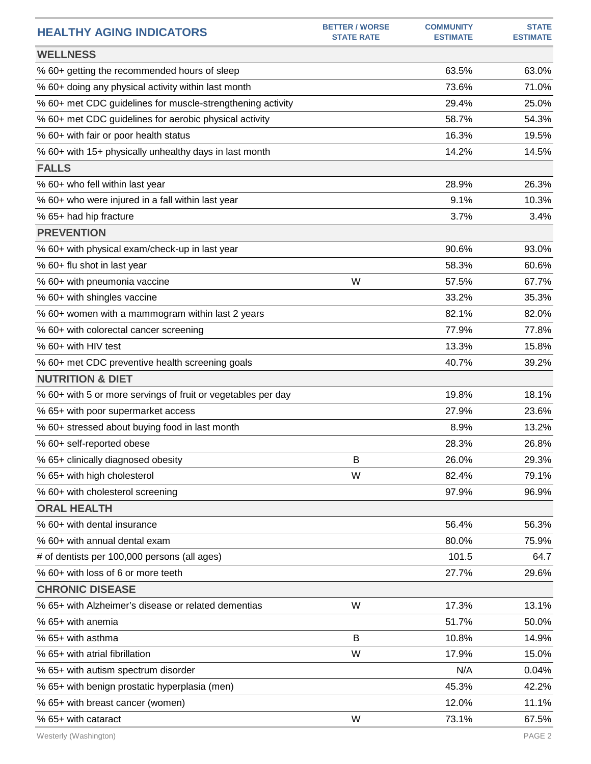| <b>HEALTHY AGING INDICATORS</b>                              | <b>BETTER / WORSE</b><br><b>STATE RATE</b> | <b>COMMUNITY</b><br><b>ESTIMATE</b> | <b>STATE</b><br><b>ESTIMATE</b> |
|--------------------------------------------------------------|--------------------------------------------|-------------------------------------|---------------------------------|
| <b>WELLNESS</b>                                              |                                            |                                     |                                 |
| % 60+ getting the recommended hours of sleep                 |                                            | 63.5%                               | 63.0%                           |
| % 60+ doing any physical activity within last month          |                                            | 73.6%                               | 71.0%                           |
| % 60+ met CDC guidelines for muscle-strengthening activity   |                                            | 29.4%                               | 25.0%                           |
| % 60+ met CDC guidelines for aerobic physical activity       |                                            | 58.7%                               | 54.3%                           |
| % 60+ with fair or poor health status                        |                                            | 16.3%                               | 19.5%                           |
| % 60+ with 15+ physically unhealthy days in last month       |                                            | 14.2%                               | 14.5%                           |
| <b>FALLS</b>                                                 |                                            |                                     |                                 |
| % 60+ who fell within last year                              |                                            | 28.9%                               | 26.3%                           |
| % 60+ who were injured in a fall within last year            |                                            | 9.1%                                | 10.3%                           |
| % 65+ had hip fracture                                       |                                            | 3.7%                                | 3.4%                            |
| <b>PREVENTION</b>                                            |                                            |                                     |                                 |
| % 60+ with physical exam/check-up in last year               |                                            | 90.6%                               | 93.0%                           |
| % 60+ flu shot in last year                                  |                                            | 58.3%                               | 60.6%                           |
| % 60+ with pneumonia vaccine                                 | W                                          | 57.5%                               | 67.7%                           |
| % 60+ with shingles vaccine                                  |                                            | 33.2%                               | 35.3%                           |
| % 60+ women with a mammogram within last 2 years             |                                            | 82.1%                               | 82.0%                           |
| % 60+ with colorectal cancer screening                       |                                            | 77.9%                               | 77.8%                           |
| % 60+ with HIV test                                          |                                            | 13.3%                               | 15.8%                           |
| % 60+ met CDC preventive health screening goals              |                                            | 40.7%                               | 39.2%                           |
| <b>NUTRITION &amp; DIET</b>                                  |                                            |                                     |                                 |
| % 60+ with 5 or more servings of fruit or vegetables per day |                                            | 19.8%                               | 18.1%                           |
| % 65+ with poor supermarket access                           |                                            | 27.9%                               | 23.6%                           |
| % 60+ stressed about buying food in last month               |                                            | 8.9%                                | 13.2%                           |
| % 60+ self-reported obese                                    |                                            | 28.3%                               | 26.8%                           |
| % 65+ clinically diagnosed obesity                           | В                                          | 26.0%                               | 29.3%                           |
| % 65+ with high cholesterol                                  | W                                          | 82.4%                               | 79.1%                           |
| % 60+ with cholesterol screening                             |                                            | 97.9%                               | 96.9%                           |
| <b>ORAL HEALTH</b>                                           |                                            |                                     |                                 |
| % 60+ with dental insurance                                  |                                            | 56.4%                               | 56.3%                           |
| % 60+ with annual dental exam                                |                                            | 80.0%                               | 75.9%                           |
| # of dentists per 100,000 persons (all ages)                 |                                            | 101.5                               | 64.7                            |
| % 60+ with loss of 6 or more teeth                           |                                            | 27.7%                               | 29.6%                           |
| <b>CHRONIC DISEASE</b>                                       |                                            |                                     |                                 |
| % 65+ with Alzheimer's disease or related dementias          | W                                          | 17.3%                               | 13.1%                           |
| % 65+ with anemia                                            |                                            | 51.7%                               | 50.0%                           |
| % 65+ with asthma                                            | B                                          | 10.8%                               | 14.9%                           |
| % 65+ with atrial fibrillation                               | W                                          | 17.9%                               | 15.0%                           |
| % 65+ with autism spectrum disorder                          |                                            | N/A                                 | 0.04%                           |
| % 65+ with benign prostatic hyperplasia (men)                |                                            | 45.3%                               | 42.2%                           |
| % 65+ with breast cancer (women)                             |                                            | 12.0%                               | 11.1%                           |
| % 65+ with cataract                                          | W                                          | 73.1%                               | 67.5%                           |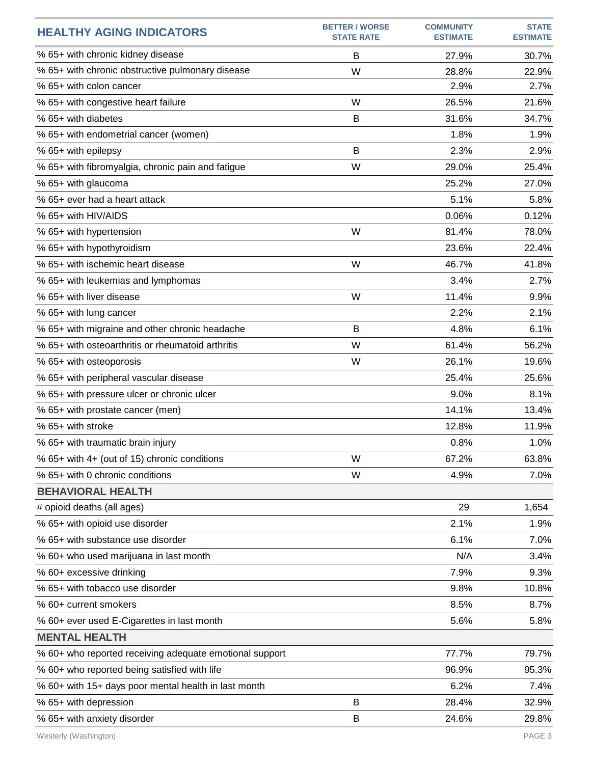| <b>HEALTHY AGING INDICATORS</b>                         | <b>BETTER / WORSE</b><br><b>STATE RATE</b> | <b>COMMUNITY</b><br><b>ESTIMATE</b> | <b>STATE</b><br><b>ESTIMATE</b> |
|---------------------------------------------------------|--------------------------------------------|-------------------------------------|---------------------------------|
| % 65+ with chronic kidney disease                       | B                                          | 27.9%                               | 30.7%                           |
| % 65+ with chronic obstructive pulmonary disease        | W                                          | 28.8%                               | 22.9%                           |
| % 65+ with colon cancer                                 |                                            | 2.9%                                | 2.7%                            |
| % 65+ with congestive heart failure                     | W                                          | 26.5%                               | 21.6%                           |
| % 65+ with diabetes                                     | B                                          | 31.6%                               | 34.7%                           |
| % 65+ with endometrial cancer (women)                   |                                            | 1.8%                                | 1.9%                            |
| % 65+ with epilepsy                                     | B                                          | 2.3%                                | 2.9%                            |
| % 65+ with fibromyalgia, chronic pain and fatigue       | W                                          | 29.0%                               | 25.4%                           |
| % 65+ with glaucoma                                     |                                            | 25.2%                               | 27.0%                           |
| % 65+ ever had a heart attack                           |                                            | 5.1%                                | 5.8%                            |
| % 65+ with HIV/AIDS                                     |                                            | 0.06%                               | 0.12%                           |
| % 65+ with hypertension                                 | W                                          | 81.4%                               | 78.0%                           |
| % 65+ with hypothyroidism                               |                                            | 23.6%                               | 22.4%                           |
| % 65+ with ischemic heart disease                       | W                                          | 46.7%                               | 41.8%                           |
| % 65+ with leukemias and lymphomas                      |                                            | 3.4%                                | 2.7%                            |
| % 65+ with liver disease                                | W                                          | 11.4%                               | 9.9%                            |
| % 65+ with lung cancer                                  |                                            | 2.2%                                | 2.1%                            |
| % 65+ with migraine and other chronic headache          | B                                          | 4.8%                                | 6.1%                            |
| % 65+ with osteoarthritis or rheumatoid arthritis       | W                                          | 61.4%                               | 56.2%                           |
| % 65+ with osteoporosis                                 | W                                          | 26.1%                               | 19.6%                           |
| % 65+ with peripheral vascular disease                  |                                            | 25.4%                               | 25.6%                           |
| % 65+ with pressure ulcer or chronic ulcer              |                                            | 9.0%                                | 8.1%                            |
| % 65+ with prostate cancer (men)                        |                                            | 14.1%                               | 13.4%                           |
| % 65+ with stroke                                       |                                            | 12.8%                               | 11.9%                           |
| % 65+ with traumatic brain injury                       |                                            | 0.8%                                | 1.0%                            |
| % 65+ with 4+ (out of 15) chronic conditions            | W                                          | 67.2%                               | 63.8%                           |
| % 65+ with 0 chronic conditions                         | W                                          | 4.9%                                | 7.0%                            |
| <b>BEHAVIORAL HEALTH</b>                                |                                            |                                     |                                 |
| # opioid deaths (all ages)                              |                                            | 29                                  | 1,654                           |
| % 65+ with opioid use disorder                          |                                            | 2.1%                                | 1.9%                            |
| % 65+ with substance use disorder                       |                                            | 6.1%                                | 7.0%                            |
| % 60+ who used marijuana in last month                  |                                            | N/A                                 | 3.4%                            |
| % 60+ excessive drinking                                |                                            | 7.9%                                | 9.3%                            |
| % 65+ with tobacco use disorder                         |                                            | 9.8%                                | 10.8%                           |
| % 60+ current smokers                                   |                                            | 8.5%                                | 8.7%                            |
| % 60+ ever used E-Cigarettes in last month              |                                            | 5.6%                                | 5.8%                            |
| <b>MENTAL HEALTH</b>                                    |                                            |                                     |                                 |
| % 60+ who reported receiving adequate emotional support |                                            | 77.7%                               | 79.7%                           |
| % 60+ who reported being satisfied with life            |                                            | 96.9%                               | 95.3%                           |
| % 60+ with 15+ days poor mental health in last month    |                                            | 6.2%                                | 7.4%                            |
| % 65+ with depression                                   | B                                          | 28.4%                               | 32.9%                           |
| % 65+ with anxiety disorder                             | В                                          | 24.6%                               | 29.8%                           |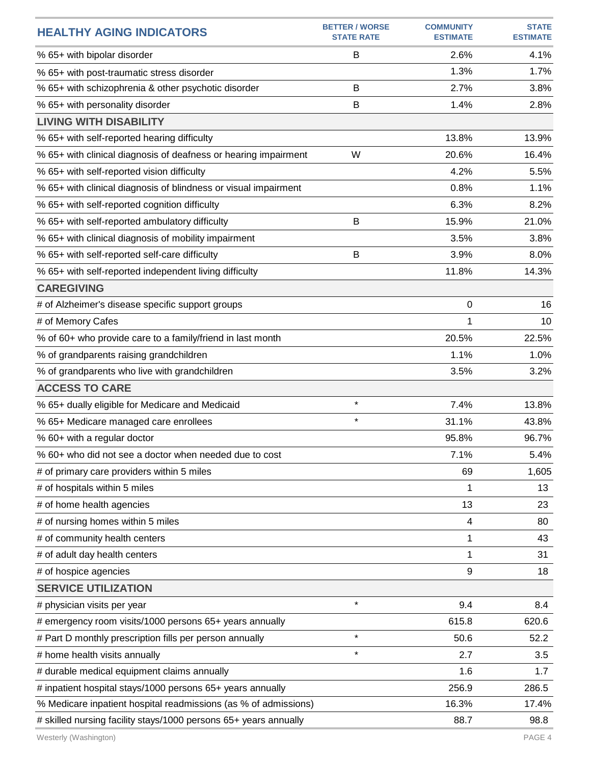| <b>HEALTHY AGING INDICATORS</b>                                  | <b>BETTER / WORSE</b><br><b>STATE RATE</b> | <b>COMMUNITY</b><br><b>ESTIMATE</b> | <b>STATE</b><br><b>ESTIMATE</b> |
|------------------------------------------------------------------|--------------------------------------------|-------------------------------------|---------------------------------|
| % 65+ with bipolar disorder                                      | B                                          | 2.6%                                | 4.1%                            |
| % 65+ with post-traumatic stress disorder                        |                                            | 1.3%                                | 1.7%                            |
| % 65+ with schizophrenia & other psychotic disorder              | B                                          | 2.7%                                | 3.8%                            |
| % 65+ with personality disorder                                  | B                                          | 1.4%                                | 2.8%                            |
| <b>LIVING WITH DISABILITY</b>                                    |                                            |                                     |                                 |
| % 65+ with self-reported hearing difficulty                      |                                            | 13.8%                               | 13.9%                           |
| % 65+ with clinical diagnosis of deafness or hearing impairment  | W                                          | 20.6%                               | 16.4%                           |
| % 65+ with self-reported vision difficulty                       |                                            | 4.2%                                | 5.5%                            |
| % 65+ with clinical diagnosis of blindness or visual impairment  |                                            | 0.8%                                | 1.1%                            |
| % 65+ with self-reported cognition difficulty                    |                                            | 6.3%                                | 8.2%                            |
| % 65+ with self-reported ambulatory difficulty                   | B                                          | 15.9%                               | 21.0%                           |
| % 65+ with clinical diagnosis of mobility impairment             |                                            | 3.5%                                | 3.8%                            |
| % 65+ with self-reported self-care difficulty                    | B                                          | 3.9%                                | 8.0%                            |
| % 65+ with self-reported independent living difficulty           |                                            | 11.8%                               | 14.3%                           |
| <b>CAREGIVING</b>                                                |                                            |                                     |                                 |
| # of Alzheimer's disease specific support groups                 |                                            | 0                                   | 16                              |
| # of Memory Cafes                                                |                                            | 1                                   | 10                              |
| % of 60+ who provide care to a family/friend in last month       |                                            | 20.5%                               | 22.5%                           |
| % of grandparents raising grandchildren                          |                                            | 1.1%                                | 1.0%                            |
| % of grandparents who live with grandchildren                    |                                            | 3.5%                                | 3.2%                            |
| <b>ACCESS TO CARE</b>                                            |                                            |                                     |                                 |
| % 65+ dually eligible for Medicare and Medicaid                  | $\star$                                    | 7.4%                                | 13.8%                           |
| % 65+ Medicare managed care enrollees                            | $\star$                                    | 31.1%                               | 43.8%                           |
| % 60+ with a regular doctor                                      |                                            | 95.8%                               | 96.7%                           |
| % 60+ who did not see a doctor when needed due to cost           |                                            | 7.1%                                | 5.4%                            |
| # of primary care providers within 5 miles                       |                                            | 69                                  | 1,605                           |
| # of hospitals within 5 miles                                    |                                            | 1                                   | 13                              |
| # of home health agencies                                        |                                            | 13                                  | 23                              |
| # of nursing homes within 5 miles                                |                                            | 4                                   | 80                              |
| # of community health centers                                    |                                            | 1                                   | 43                              |
| # of adult day health centers                                    |                                            | 1                                   | 31                              |
| # of hospice agencies                                            |                                            | 9                                   | 18                              |
| <b>SERVICE UTILIZATION</b>                                       |                                            |                                     |                                 |
| # physician visits per year                                      | $\star$                                    | 9.4                                 | 8.4                             |
| # emergency room visits/1000 persons 65+ years annually          |                                            | 615.8                               | 620.6                           |
| # Part D monthly prescription fills per person annually          | $\star$                                    | 50.6                                | 52.2                            |
| # home health visits annually                                    | $\star$                                    | 2.7                                 | 3.5                             |
| # durable medical equipment claims annually                      |                                            | 1.6                                 | 1.7                             |
| # inpatient hospital stays/1000 persons 65+ years annually       |                                            | 256.9                               | 286.5                           |
| % Medicare inpatient hospital readmissions (as % of admissions)  |                                            | 16.3%                               | 17.4%                           |
| # skilled nursing facility stays/1000 persons 65+ years annually |                                            | 88.7                                | 98.8                            |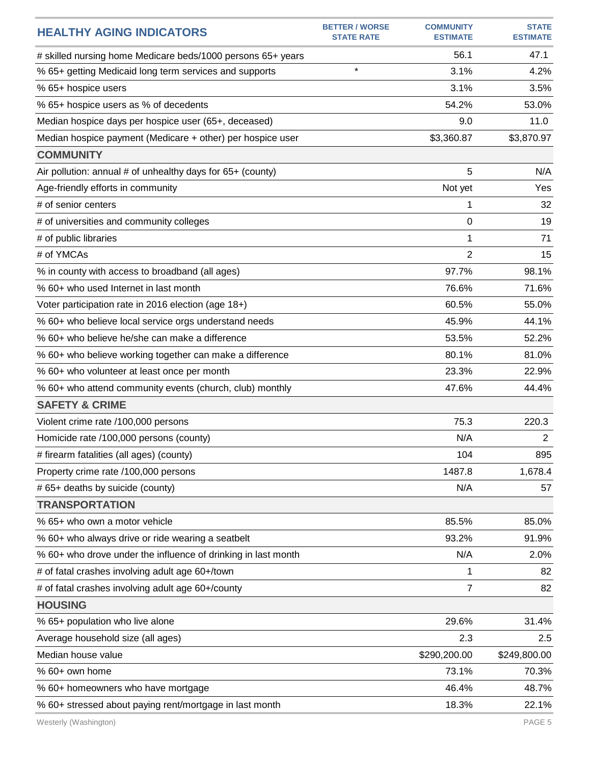| <b>HEALTHY AGING INDICATORS</b>                               | <b>BETTER / WORSE</b><br><b>STATE RATE</b> | <b>COMMUNITY</b><br><b>ESTIMATE</b> | <b>STATE</b><br><b>ESTIMATE</b> |
|---------------------------------------------------------------|--------------------------------------------|-------------------------------------|---------------------------------|
| # skilled nursing home Medicare beds/1000 persons 65+ years   |                                            | 56.1                                | 47.1                            |
| % 65+ getting Medicaid long term services and supports        | $\star$                                    | 3.1%                                | 4.2%                            |
| % 65+ hospice users                                           |                                            | 3.1%                                | 3.5%                            |
| % 65+ hospice users as % of decedents                         |                                            | 54.2%                               | 53.0%                           |
| Median hospice days per hospice user (65+, deceased)          |                                            | 9.0                                 | 11.0                            |
| Median hospice payment (Medicare + other) per hospice user    |                                            | \$3,360.87                          | \$3,870.97                      |
| <b>COMMUNITY</b>                                              |                                            |                                     |                                 |
| Air pollution: annual # of unhealthy days for 65+ (county)    |                                            | 5                                   | N/A                             |
| Age-friendly efforts in community                             |                                            | Not yet                             | Yes                             |
| # of senior centers                                           |                                            | 1                                   | 32                              |
| # of universities and community colleges                      |                                            | 0                                   | 19                              |
| # of public libraries                                         |                                            | 1                                   | 71                              |
| # of YMCAs                                                    |                                            | 2                                   | 15                              |
| % in county with access to broadband (all ages)               |                                            | 97.7%                               | 98.1%                           |
| % 60+ who used Internet in last month                         |                                            | 76.6%                               | 71.6%                           |
| Voter participation rate in 2016 election (age 18+)           |                                            | 60.5%                               | 55.0%                           |
| % 60+ who believe local service orgs understand needs         |                                            | 45.9%                               | 44.1%                           |
| % 60+ who believe he/she can make a difference                |                                            | 53.5%                               | 52.2%                           |
| % 60+ who believe working together can make a difference      |                                            | 80.1%                               | 81.0%                           |
| % 60+ who volunteer at least once per month                   |                                            | 23.3%                               | 22.9%                           |
| % 60+ who attend community events (church, club) monthly      |                                            | 47.6%                               | 44.4%                           |
| <b>SAFETY &amp; CRIME</b>                                     |                                            |                                     |                                 |
| Violent crime rate /100,000 persons                           |                                            | 75.3                                | 220.3                           |
| Homicide rate /100,000 persons (county)                       |                                            | N/A                                 | $\mathbf{2}$                    |
| # firearm fatalities (all ages) (county)                      |                                            | 104                                 | 895                             |
| Property crime rate /100,000 persons                          |                                            | 1487.8                              | 1,678.4                         |
| # 65+ deaths by suicide (county)                              |                                            | N/A                                 | 57                              |
| <b>TRANSPORTATION</b>                                         |                                            |                                     |                                 |
| % 65+ who own a motor vehicle                                 |                                            | 85.5%                               | 85.0%                           |
| % 60+ who always drive or ride wearing a seatbelt             |                                            | 93.2%                               | 91.9%                           |
| % 60+ who drove under the influence of drinking in last month |                                            | N/A                                 | 2.0%                            |
| # of fatal crashes involving adult age 60+/town               |                                            | 1                                   | 82                              |
| # of fatal crashes involving adult age 60+/county             |                                            | 7                                   | 82                              |
| <b>HOUSING</b>                                                |                                            |                                     |                                 |
| % 65+ population who live alone                               |                                            | 29.6%                               | 31.4%                           |
| Average household size (all ages)                             |                                            | 2.3                                 | 2.5                             |
| Median house value                                            |                                            | \$290,200.00                        | \$249,800.00                    |
| % 60+ own home                                                |                                            | 73.1%                               | 70.3%                           |
| % 60+ homeowners who have mortgage                            |                                            | 46.4%                               | 48.7%                           |
| % 60+ stressed about paying rent/mortgage in last month       |                                            | 18.3%                               | 22.1%                           |